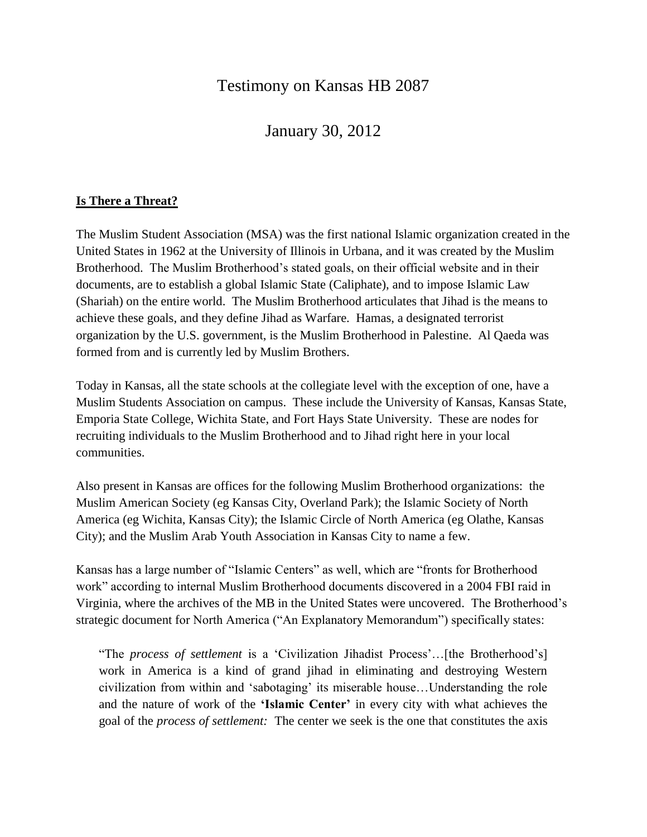# Testimony on Kansas HB 2087

January 30, 2012

# **Is There a Threat?**

The Muslim Student Association (MSA) was the first national Islamic organization created in the United States in 1962 at the University of Illinois in Urbana, and it was created by the Muslim Brotherhood. The Muslim Brotherhood's stated goals, on their official website and in their documents, are to establish a global Islamic State (Caliphate), and to impose Islamic Law (Shariah) on the entire world. The Muslim Brotherhood articulates that Jihad is the means to achieve these goals, and they define Jihad as Warfare. Hamas, a designated terrorist organization by the U.S. government, is the Muslim Brotherhood in Palestine. Al Qaeda was formed from and is currently led by Muslim Brothers.

Today in Kansas, all the state schools at the collegiate level with the exception of one, have a Muslim Students Association on campus. These include the University of Kansas, Kansas State, Emporia State College, Wichita State, and Fort Hays State University. These are nodes for recruiting individuals to the Muslim Brotherhood and to Jihad right here in your local communities.

Also present in Kansas are offices for the following Muslim Brotherhood organizations: the Muslim American Society (eg Kansas City, Overland Park); the Islamic Society of North America (eg Wichita, Kansas City); the Islamic Circle of North America (eg Olathe, Kansas City); and the Muslim Arab Youth Association in Kansas City to name a few.

Kansas has a large number of "Islamic Centers" as well, which are "fronts for Brotherhood work" according to internal Muslim Brotherhood documents discovered in a 2004 FBI raid in Virginia, where the archives of the MB in the United States were uncovered. The Brotherhood's strategic document for North America ("An Explanatory Memorandum") specifically states:

"The *process of settlement* is a 'Civilization Jihadist Process'…[the Brotherhood's] work in America is a kind of grand jihad in eliminating and destroying Western civilization from within and 'sabotaging' its miserable house…Understanding the role and the nature of work of the **'Islamic Center'** in every city with what achieves the goal of the *process of settlement:* The center we seek is the one that constitutes the axis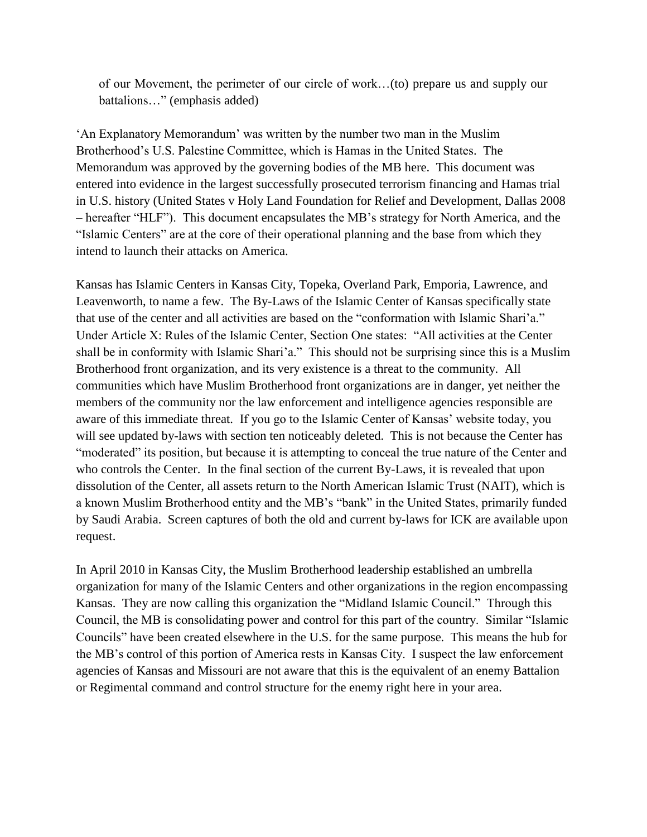of our Movement, the perimeter of our circle of work…(to) prepare us and supply our battalions…" (emphasis added)

'An Explanatory Memorandum' was written by the number two man in the Muslim Brotherhood's U.S. Palestine Committee, which is Hamas in the United States. The Memorandum was approved by the governing bodies of the MB here. This document was entered into evidence in the largest successfully prosecuted terrorism financing and Hamas trial in U.S. history (United States v Holy Land Foundation for Relief and Development, Dallas 2008 – hereafter "HLF"). This document encapsulates the MB's strategy for North America, and the "Islamic Centers" are at the core of their operational planning and the base from which they intend to launch their attacks on America.

Kansas has Islamic Centers in Kansas City, Topeka, Overland Park, Emporia, Lawrence, and Leavenworth, to name a few. The By-Laws of the Islamic Center of Kansas specifically state that use of the center and all activities are based on the "conformation with Islamic Shari'a." Under Article X: Rules of the Islamic Center, Section One states: "All activities at the Center shall be in conformity with Islamic Shari'a." This should not be surprising since this is a Muslim Brotherhood front organization, and its very existence is a threat to the community. All communities which have Muslim Brotherhood front organizations are in danger, yet neither the members of the community nor the law enforcement and intelligence agencies responsible are aware of this immediate threat. If you go to the Islamic Center of Kansas' website today, you will see updated by-laws with section ten noticeably deleted. This is not because the Center has "moderated" its position, but because it is attempting to conceal the true nature of the Center and who controls the Center. In the final section of the current By-Laws, it is revealed that upon dissolution of the Center, all assets return to the North American Islamic Trust (NAIT), which is a known Muslim Brotherhood entity and the MB's "bank" in the United States, primarily funded by Saudi Arabia. Screen captures of both the old and current by-laws for ICK are available upon request.

In April 2010 in Kansas City, the Muslim Brotherhood leadership established an umbrella organization for many of the Islamic Centers and other organizations in the region encompassing Kansas. They are now calling this organization the "Midland Islamic Council." Through this Council, the MB is consolidating power and control for this part of the country. Similar "Islamic Councils" have been created elsewhere in the U.S. for the same purpose. This means the hub for the MB's control of this portion of America rests in Kansas City. I suspect the law enforcement agencies of Kansas and Missouri are not aware that this is the equivalent of an enemy Battalion or Regimental command and control structure for the enemy right here in your area.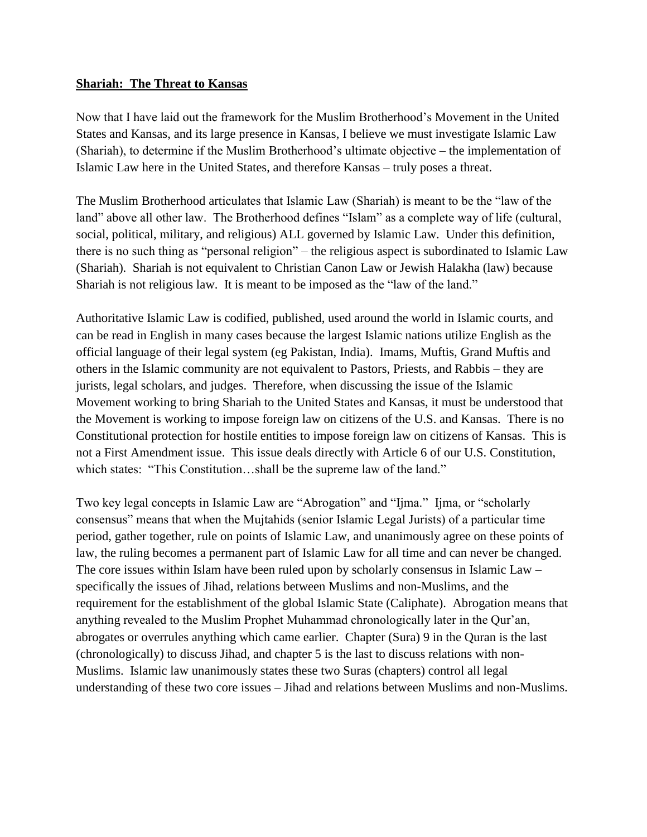### **Shariah: The Threat to Kansas**

Now that I have laid out the framework for the Muslim Brotherhood's Movement in the United States and Kansas, and its large presence in Kansas, I believe we must investigate Islamic Law (Shariah), to determine if the Muslim Brotherhood's ultimate objective – the implementation of Islamic Law here in the United States, and therefore Kansas – truly poses a threat.

The Muslim Brotherhood articulates that Islamic Law (Shariah) is meant to be the "law of the land" above all other law. The Brotherhood defines "Islam" as a complete way of life (cultural, social, political, military, and religious) ALL governed by Islamic Law. Under this definition, there is no such thing as "personal religion" – the religious aspect is subordinated to Islamic Law (Shariah). Shariah is not equivalent to Christian Canon Law or Jewish Halakha (law) because Shariah is not religious law. It is meant to be imposed as the "law of the land."

Authoritative Islamic Law is codified, published, used around the world in Islamic courts, and can be read in English in many cases because the largest Islamic nations utilize English as the official language of their legal system (eg Pakistan, India). Imams, Muftis, Grand Muftis and others in the Islamic community are not equivalent to Pastors, Priests, and Rabbis – they are jurists, legal scholars, and judges. Therefore, when discussing the issue of the Islamic Movement working to bring Shariah to the United States and Kansas, it must be understood that the Movement is working to impose foreign law on citizens of the U.S. and Kansas. There is no Constitutional protection for hostile entities to impose foreign law on citizens of Kansas. This is not a First Amendment issue. This issue deals directly with Article 6 of our U.S. Constitution, which states: "This Constitution…shall be the supreme law of the land."

Two key legal concepts in Islamic Law are "Abrogation" and "Ijma." Ijma, or "scholarly consensus" means that when the Mujtahids (senior Islamic Legal Jurists) of a particular time period, gather together, rule on points of Islamic Law, and unanimously agree on these points of law, the ruling becomes a permanent part of Islamic Law for all time and can never be changed. The core issues within Islam have been ruled upon by scholarly consensus in Islamic Law – specifically the issues of Jihad, relations between Muslims and non-Muslims, and the requirement for the establishment of the global Islamic State (Caliphate). Abrogation means that anything revealed to the Muslim Prophet Muhammad chronologically later in the Qur'an, abrogates or overrules anything which came earlier. Chapter (Sura) 9 in the Quran is the last (chronologically) to discuss Jihad, and chapter 5 is the last to discuss relations with non-Muslims. Islamic law unanimously states these two Suras (chapters) control all legal understanding of these two core issues – Jihad and relations between Muslims and non-Muslims.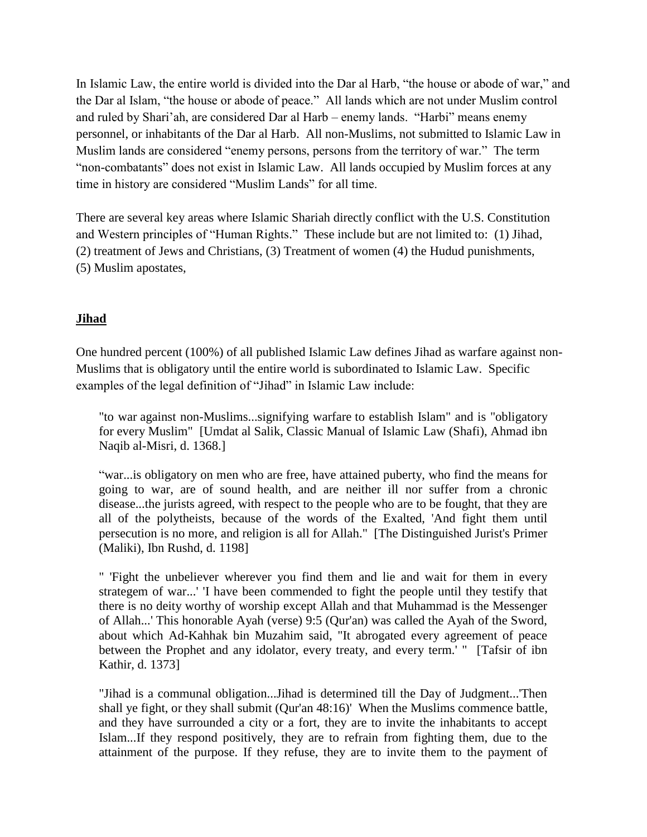In Islamic Law, the entire world is divided into the Dar al Harb, "the house or abode of war," and the Dar al Islam, "the house or abode of peace." All lands which are not under Muslim control and ruled by Shari'ah, are considered Dar al Harb – enemy lands. "Harbi" means enemy personnel, or inhabitants of the Dar al Harb. All non-Muslims, not submitted to Islamic Law in Muslim lands are considered "enemy persons, persons from the territory of war." The term "non-combatants" does not exist in Islamic Law. All lands occupied by Muslim forces at any time in history are considered "Muslim Lands" for all time.

There are several key areas where Islamic Shariah directly conflict with the U.S. Constitution and Western principles of "Human Rights." These include but are not limited to: (1) Jihad, (2) treatment of Jews and Christians, (3) Treatment of women (4) the Hudud punishments, (5) Muslim apostates,

## **Jihad**

One hundred percent (100%) of all published Islamic Law defines Jihad as warfare against non-Muslims that is obligatory until the entire world is subordinated to Islamic Law. Specific examples of the legal definition of "Jihad" in Islamic Law include:

"to war against non-Muslims...signifying warfare to establish Islam" and is "obligatory for every Muslim" [Umdat al Salik, Classic Manual of Islamic Law (Shafi), Ahmad ibn Naqib al-Misri, d. 1368.]

"war...is obligatory on men who are free, have attained puberty, who find the means for going to war, are of sound health, and are neither ill nor suffer from a chronic disease...the jurists agreed, with respect to the people who are to be fought, that they are all of the polytheists, because of the words of the Exalted, 'And fight them until persecution is no more, and religion is all for Allah." [The Distinguished Jurist's Primer (Maliki), Ibn Rushd, d. 1198]

" 'Fight the unbeliever wherever you find them and lie and wait for them in every strategem of war...' 'I have been commended to fight the people until they testify that there is no deity worthy of worship except Allah and that Muhammad is the Messenger of Allah...' This honorable Ayah (verse) 9:5 (Qur'an) was called the Ayah of the Sword, about which Ad-Kahhak bin Muzahim said, "It abrogated every agreement of peace between the Prophet and any idolator, every treaty, and every term.' " [Tafsir of ibn Kathir, d. 1373]

"Jihad is a communal obligation...Jihad is determined till the Day of Judgment...'Then shall ye fight, or they shall submit (Qur'an 48:16)' When the Muslims commence battle, and they have surrounded a city or a fort, they are to invite the inhabitants to accept Islam...If they respond positively, they are to refrain from fighting them, due to the attainment of the purpose. If they refuse, they are to invite them to the payment of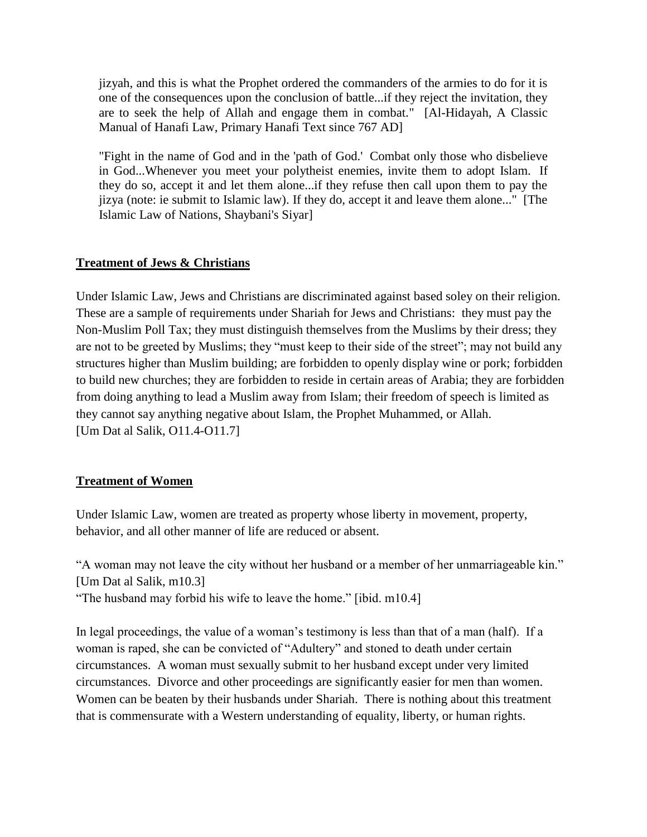jizyah, and this is what the Prophet ordered the commanders of the armies to do for it is one of the consequences upon the conclusion of battle...if they reject the invitation, they are to seek the help of Allah and engage them in combat." [Al-Hidayah, A Classic Manual of Hanafi Law, Primary Hanafi Text since 767 AD]

"Fight in the name of God and in the 'path of God.' Combat only those who disbelieve in God...Whenever you meet your polytheist enemies, invite them to adopt Islam. If they do so, accept it and let them alone...if they refuse then call upon them to pay the jizya (note: ie submit to Islamic law). If they do, accept it and leave them alone..." [The Islamic Law of Nations, Shaybani's Siyar]

## **Treatment of Jews & Christians**

Under Islamic Law, Jews and Christians are discriminated against based soley on their religion. These are a sample of requirements under Shariah for Jews and Christians: they must pay the Non-Muslim Poll Tax; they must distinguish themselves from the Muslims by their dress; they are not to be greeted by Muslims; they "must keep to their side of the street"; may not build any structures higher than Muslim building; are forbidden to openly display wine or pork; forbidden to build new churches; they are forbidden to reside in certain areas of Arabia; they are forbidden from doing anything to lead a Muslim away from Islam; their freedom of speech is limited as they cannot say anything negative about Islam, the Prophet Muhammed, or Allah. [Um Dat al Salik, O11.4-O11.7]

# **Treatment of Women**

Under Islamic Law, women are treated as property whose liberty in movement, property, behavior, and all other manner of life are reduced or absent.

"A woman may not leave the city without her husband or a member of her unmarriageable kin." [Um Dat al Salik, m10.3] "The husband may forbid his wife to leave the home." [ibid. m10.4]

In legal proceedings, the value of a woman's testimony is less than that of a man (half). If a woman is raped, she can be convicted of "Adultery" and stoned to death under certain circumstances. A woman must sexually submit to her husband except under very limited circumstances. Divorce and other proceedings are significantly easier for men than women. Women can be beaten by their husbands under Shariah. There is nothing about this treatment that is commensurate with a Western understanding of equality, liberty, or human rights.